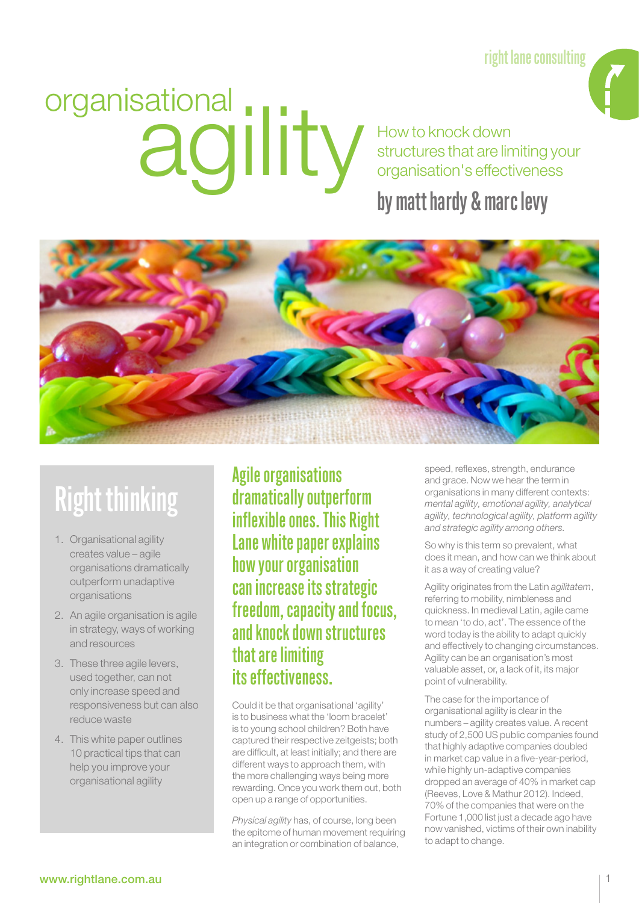right lane consulting

# organisational ity

How to knock down structures that are limiting your organisation's effectiveness

### by matt hardy & marc levy



# Right thinking

- 1. Organisational agility creates value – agile organisations dramatically outperform unadaptive organisations
- 2. An agile organisation is agile in strategy, ways of working and resources
- 3. These three agile levers, used together, can not only increase speed and responsiveness but can also reduce waste
- 4. This white paper outlines 10 practical tips that can help you improve your organisational agility

Agile organisations dramatically outperform inflexible ones. This Right Lane white paper explains how your organisation can increase its strategic freedom, capacity and focus, and knock down structures that are limiting its effectiveness.

Could it be that organisational 'agility' is to business what the 'loom bracelet' is to young school children? Both have captured their respective zeitgeists; both are difficult, at least initially; and there are different ways to approach them, with the more challenging ways being more rewarding. Once you work them out, both open up a range of opportunities.

*Physical agility* has, of course, long been the epitome of human movement requiring an integration or combination of balance,

speed, reflexes, strength, endurance and grace. Now we hear the term in organisations in many different contexts: *mental agility, emotional agility, analytical agility, technological agility, platform agility and strategic agility among others.*

So why is this term so prevalent, what does it mean, and how can we think about it as a way of creating value?

Agility originates from the Latin *agilitatem*, referring to mobility, nimbleness and quickness. In medieval Latin, agile came to mean 'to do, act'. The essence of the word today is the ability to adapt quickly and effectively to changing circumstances. Agility can be an organisation's most valuable asset, or, a lack of it, its major point of vulnerability.

The case for the importance of organisational agility is clear in the numbers – agility creates value. A recent study of 2,500 US public companies found that highly adaptive companies doubled in market cap value in a five-year-period, while highly un-adaptive companies dropped an average of 40% in market cap (Reeves, Love & Mathur 2012). Indeed, 70% of the companies that were on the Fortune 1,000 list just a decade ago have now vanished, victims of their own inability to adapt to change.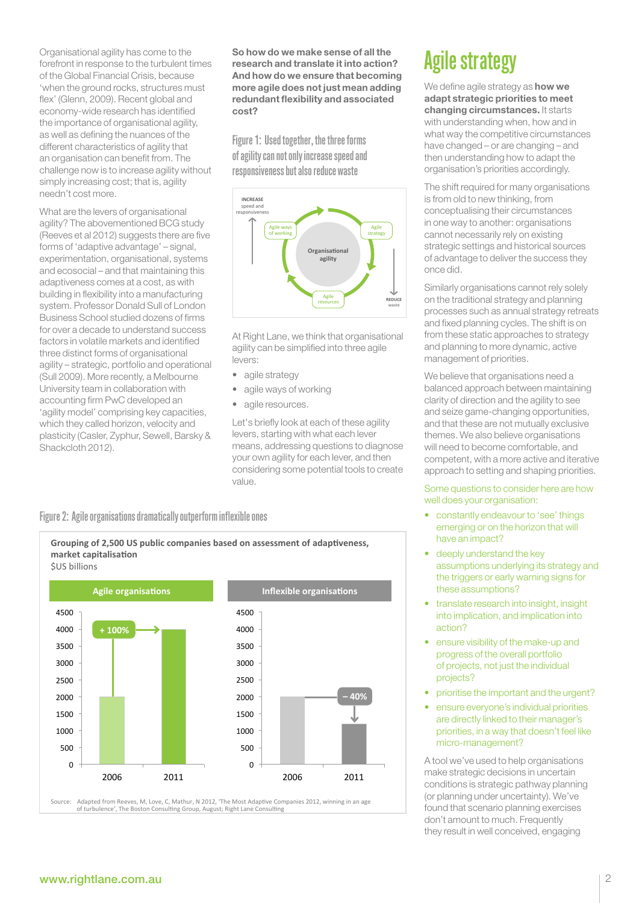Organisational agility has come to the forefront in response to the turbulent times of the Global Financial Crisis, because 'when the ground rocks, structures must flex' (Glenn, 2009). Recent global and economy-wide research has identified the importance of organisational agility, as well as defining the nuances of the different characteristics of agility that an organisation can benefit from. The challenge now is to increase agility without simply increasing cost; that is, agility needn't cost more.

What are the levers of organisational agility? The abovementioned BCG study (Reeves et al 2012) suggests there are five forms of 'adaptive advantage' – signal, experimentation, organisational, systems and ecosocial – and that maintaining this adaptiveness comes at a cost, as with building in flexibility into a manufacturing system. Professor Donald Sull of London Business School studied dozens of firms for over a decade to understand success factors in volatile markets and identified three distinct forms of organisational agility – strategic, portfolio and operational (Sull 2009). More recently, a Melbourne University team in collaboration with accounting firm PwC developed an 'agility model' comprising key capacities, which they called horizon, velocity and plasticity (Casler, Zyphur, Sewell, Barsky & Shackcloth 2012).

So how do we make sense of all the research and translate it into action? And how do we ensure that becoming more agile does not just mean adding redundant flexibility and associated cost?

Figure 1: Used together, the three forms of agility can not only increase speed and responsiveness but also reduce waste



At Right Lane, we think that organisational agility can be simplified into three agile levers:

- agile strategy
- agile ways of working
- agile resources.

Let's briefly look at each of these agility levers, starting with what each lever means, addressing questions to diagnose your own agility for each lever, and then considering some potential tools to create value.

### Figure 2: Agile organisations dramatically outperform inflexible ones





# Agile strategy

We define agile strategy as **how we** adapt strategic priorities to meet changing circumstances. It starts with understanding when, how and in what way the competitive circumstances have changed – or are changing – and then understanding how to adapt the organisation's priorities accordingly.

The shift required for many organisations is from old to new thinking, from conceptualising their circumstances in one way to another: organisations cannot necessarily rely on existing strategic settings and historical sources of advantage to deliver the success they once did.

Similarly organisations cannot rely solely on the traditional strategy and planning processes such as annual strategy retreats and fixed planning cycles. The shift is on from these static approaches to strategy and planning to more dynamic, active management of priorities.

We believe that organisations need a balanced approach between maintaining clarity of direction and the agility to see and seize game-changing opportunities, and that these are not mutually exclusive themes. We also believe organisations will need to become comfortable, and competent, with a more active and iterative approach to setting and shaping priorities.

Some questions to consider here are how well does your organisation:

- constantly endeavour to 'see' things emerging or on the horizon that will have an impact?
- deeply understand the key assumptions underlying its strategy and the triggers or early warning signs for these assumptions?
- translate research into insight, insight into implication, and implication into action?
- ensure visibility of the make-up and progress of the overall portfolio of projects, not just the individual projects?
- prioritise the important and the urgent?
- ensure everyone's individual priorities are directly linked to their manager's priorities, in a way that doesn't feel like micro-management?

A tool we've used to help organisations make strategic decisions in uncertain conditions is strategic pathway planning (or planning under uncertainty). We've found that scenario planning exercises don't amount to much. Frequently they result in well conceived, engaging

### www.rightlane.com.au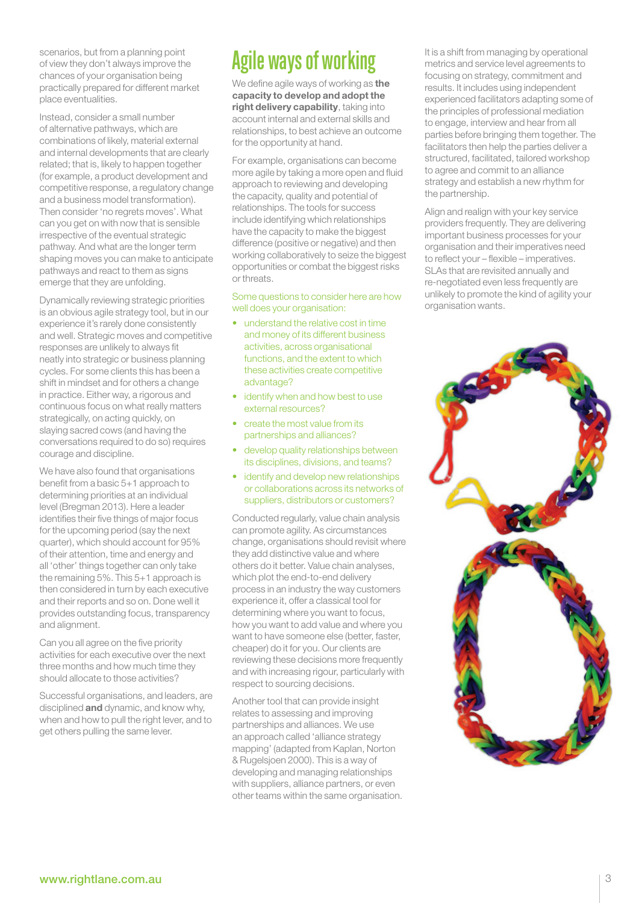scenarios, but from a planning point of view they don't always improve the chances of your organisation being practically prepared for different market place eventualities.

Instead, consider a small number of alternative pathways, which are combinations of likely, material external and internal developments that are clearly related; that is, likely to happen together (for example, a product development and competitive response, a regulatory change and a business model transformation). Then consider 'no regrets moves'. What can you get on with now that is sensible irrespective of the eventual strategic pathway. And what are the longer term shaping moves you can make to anticipate pathways and react to them as signs emerge that they are unfolding.

Dynamically reviewing strategic priorities is an obvious agile strategy tool, but in our experience it's rarely done consistently and well. Strategic moves and competitive responses are unlikely to always fit neatly into strategic or business planning cycles. For some clients this has been a shift in mindset and for others a change in practice. Either way, a rigorous and continuous focus on what really matters strategically, on acting quickly, on slaying sacred cows (and having the conversations required to do so) requires courage and discipline.

We have also found that organisations benefit from a basic 5+1 approach to determining priorities at an individual level (Bregman 2013). Here a leader identifies their five things of major focus for the upcoming period (say the next quarter), which should account for 95% of their attention, time and energy and all 'other' things together can only take the remaining 5%. This 5+1 approach is then considered in turn by each executive and their reports and so on. Done well it provides outstanding focus, transparency and alignment.

Can you all agree on the five priority activities for each executive over the next three months and how much time they should allocate to those activities?

Successful organisations, and leaders, are disciplined **and** dynamic, and know why, when and how to pull the right lever, and to get others pulling the same lever.

# Agile ways of working

We define agile ways of working as the capacity to develop and adopt the right delivery capability, taking into account internal and external skills and relationships, to best achieve an outcome for the opportunity at hand.

For example, organisations can become more agile by taking a more open and fluid approach to reviewing and developing the capacity, quality and potential of relationships. The tools for success include identifying which relationships have the capacity to make the biggest difference (positive or negative) and then working collaboratively to seize the biggest opportunities or combat the biggest risks or threats.

Some questions to consider here are how well does your organisation:

- understand the relative cost in time and money of its different business activities, across organisational functions, and the extent to which these activities create competitive advantage?
- identify when and how best to use external resources?
- create the most value from its partnerships and alliances?
- develop quality relationships between its disciplines, divisions, and teams?
- identify and develop new relationships or collaborations across its networks of suppliers, distributors or customers?

Conducted regularly, value chain analysis can promote agility. As circumstances change, organisations should revisit where they add distinctive value and where others do it better. Value chain analyses, which plot the end-to-end delivery process in an industry the way customers experience it, offer a classical tool for determining where you want to focus, how you want to add value and where you want to have someone else (better, faster, cheaper) do it for you. Our clients are reviewing these decisions more frequently and with increasing rigour, particularly with respect to sourcing decisions.

Another tool that can provide insight relates to assessing and improving partnerships and alliances. We use an approach called 'alliance strategy mapping' (adapted from Kaplan, Norton & Rugelsjoen 2000). This is a way of developing and managing relationships with suppliers, alliance partners, or even other teams within the same organisation. It is a shift from managing by operational metrics and service level agreements to focusing on strategy, commitment and results. It includes using independent experienced facilitators adapting some of the principles of professional mediation to engage, interview and hear from all parties before bringing them together. The facilitators then help the parties deliver a structured, facilitated, tailored workshop to agree and commit to an alliance strategy and establish a new rhythm for the partnership.

Align and realign with your key service providers frequently. They are delivering important business processes for your organisation and their imperatives need to reflect your – flexible – imperatives. SLAs that are revisited annually and re-negotiated even less frequently are unlikely to promote the kind of agility your organisation wants.

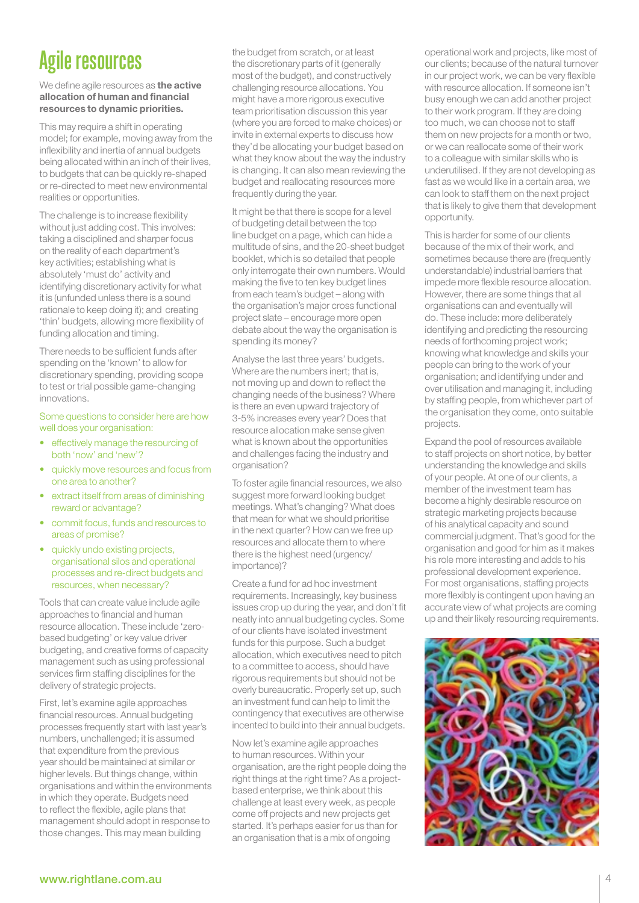# Agile resources

We define agile resources as the active allocation of human and financial resources to dynamic priorities.

This may require a shift in operating model; for example, moving away from the inflexibility and inertia of annual budgets being allocated within an inch of their lives, to budgets that can be quickly re-shaped or re-directed to meet new environmental realities or opportunities.

The challenge is to increase flexibility without just adding cost. This involves: taking a disciplined and sharper focus on the reality of each department's key activities; establishing what is absolutely 'must do' activity and identifying discretionary activity for what it is (unfunded unless there is a sound rationale to keep doing it); and creating 'thin' budgets, allowing more flexibility of funding allocation and timing.

There needs to be sufficient funds after spending on the 'known' to allow for discretionary spending, providing scope to test or trial possible game-changing innovations.

### Some questions to consider here are how well does your organisation:

- • effectively manage the resourcing of both 'now' and 'new'?
- quickly move resources and focus from one area to another?
- extract itself from areas of diminishing reward or advantage?
- • commit focus, funds and resources to areas of promise?
- quickly undo existing projects, organisational silos and operational processes and re-direct budgets and resources, when necessary?

Tools that can create value include agile approaches to financial and human resource allocation. These include 'zerobased budgeting' or key value driver budgeting, and creative forms of capacity management such as using professional services firm staffing disciplines for the delivery of strategic projects.

First, let's examine agile approaches financial resources. Annual budgeting processes frequently start with last year's numbers, unchallenged; it is assumed that expenditure from the previous year should be maintained at similar or higher levels. But things change, within organisations and within the environments in which they operate. Budgets need to reflect the flexible, agile plans that management should adopt in response to those changes. This may mean building

the budget from scratch, or at least the discretionary parts of it (generally most of the budget), and constructively challenging resource allocations. You might have a more rigorous executive team prioritisation discussion this year (where you are forced to make choices) or invite in external experts to discuss how they'd be allocating your budget based on what they know about the way the industry is changing. It can also mean reviewing the budget and reallocating resources more frequently during the year.

It might be that there is scope for a level of budgeting detail between the top line budget on a page, which can hide a multitude of sins, and the 20-sheet budget booklet, which is so detailed that people only interrogate their own numbers. Would making the five to ten key budget lines from each team's budget – along with the organisation's major cross functional project slate – encourage more open debate about the way the organisation is spending its money?

Analyse the last three years' budgets. Where are the numbers inert: that is, not moving up and down to reflect the changing needs of the business? Where is there an even upward trajectory of 3-5% increases every year? Does that resource allocation make sense given what is known about the opportunities and challenges facing the industry and organisation?

To foster agile financial resources, we also suggest more forward looking budget meetings. What's changing? What does that mean for what we should prioritise in the next quarter? How can we free up resources and allocate them to where there is the highest need (urgency/ importance)?

Create a fund for ad hoc investment requirements. Increasingly, key business issues crop up during the year, and don't fit neatly into annual budgeting cycles. Some of our clients have isolated investment funds for this purpose. Such a budget allocation, which executives need to pitch to a committee to access, should have rigorous requirements but should not be overly bureaucratic. Properly set up, such an investment fund can help to limit the contingency that executives are otherwise incented to build into their annual budgets.

Now let's examine agile approaches to human resources. Within your organisation, are the right people doing the right things at the right time? As a projectbased enterprise, we think about this challenge at least every week, as people come off projects and new projects get started. It's perhaps easier for us than for an organisation that is a mix of ongoing

operational work and projects, like most of our clients; because of the natural turnover in our project work, we can be very flexible with resource allocation. If someone isn't busy enough we can add another project to their work program. If they are doing too much, we can choose not to staff them on new projects for a month or two, or we can reallocate some of their work to a colleague with similar skills who is underutilised. If they are not developing as fast as we would like in a certain area, we can look to staff them on the next project that is likely to give them that development opportunity.

This is harder for some of our clients because of the mix of their work, and sometimes because there are (frequently understandable) industrial barriers that impede more flexible resource allocation. However, there are some things that all organisations can and eventually will do. These include: more deliberately identifying and predicting the resourcing needs of forthcoming project work; knowing what knowledge and skills your people can bring to the work of your organisation; and identifying under and over utilisation and managing it, including by staffing people, from whichever part of the organisation they come, onto suitable projects.

Expand the pool of resources available to staff projects on short notice, by better understanding the knowledge and skills of your people. At one of our clients, a member of the investment team has become a highly desirable resource on strategic marketing projects because of his analytical capacity and sound commercial judgment. That's good for the organisation and good for him as it makes his role more interesting and adds to his professional development experience. For most organisations, staffing projects more flexibly is contingent upon having an accurate view of what projects are coming up and their likely resourcing requirements.

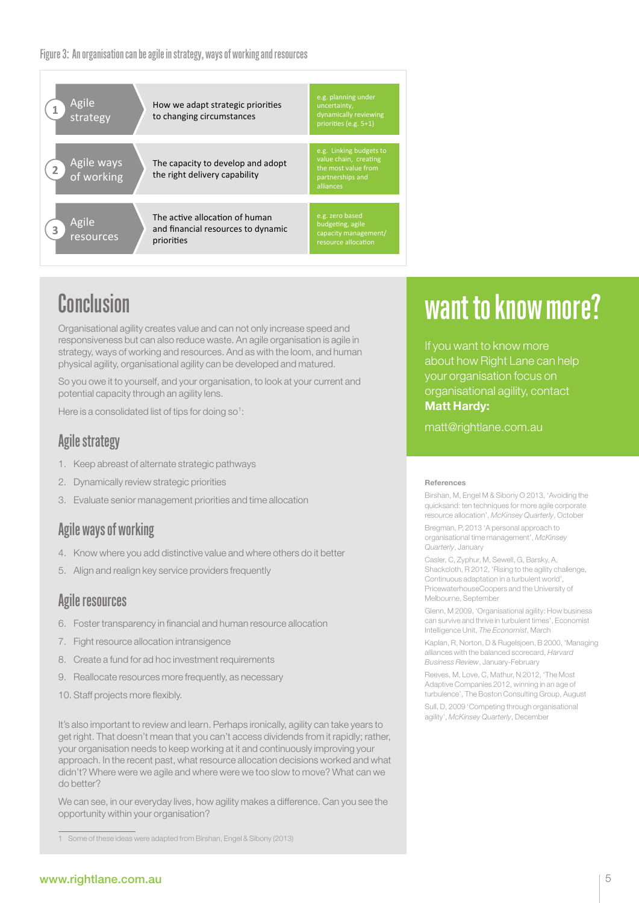**resources** Figure 3: An organisation can be agile in strategy, ways of working and resources



# Conclusion

Organisational agility creates value and can not only increase speed and responsiveness but can also reduce waste. An agile organisation is agile in strategy, ways of working and resources. And as with the loom, and human physical agility, organisational agility can be developed and matured.

So you owe it to yourself, and your organisation, to look at your current and potential capacity through an agility lens.

Here is a consolidated list of tips for doing  $so<sup>1</sup>$ :

### Agile strategy

- 1. Keep abreast of alternate strategic pathways
- 2. Dynamically review strategic priorities
- 3. Evaluate senior management priorities and time allocation

### Agile ways of working

- 4. Know where you add distinctive value and where others do it better
- 5. Align and realign key service providers frequently

### Agile resources

- 6. Foster transparency in financial and human resource allocation
- 7. Fight resource allocation intransigence
- 8. Create a fund for ad hoc investment requirements
- 9. Reallocate resources more frequently, as necessary
- 10. Staff projects more flexibly.

It's also important to review and learn. Perhaps ironically, agility can take years to get right. That doesn't mean that you can't access dividends from it rapidly; rather, your organisation needs to keep working at it and continuously improving your approach. In the recent past, what resource allocation decisions worked and what didn't? Where were we agile and where were we too slow to move? What can we do better?

We can see, in our everyday lives, how agility makes a difference. Can you see the opportunity within your organisation?

# want to know more?

If you want to know more about how Right Lane can help your organisation focus on organisational agility, contact Matt Hardy:

matt@rightlane.com.au

### References

Birshan, M, Engel M & Sibony O 2013, 'Avoiding the quicksand: ten techniques for more agile corporate resource allocation', *McKinsey Quarterly*, October

Bregman, P, 2013 'A personal approach to organisational time management', *McKinsey Quarterly*, January

Casler, C, Zyphur, M, Sewell, G, Barsky, A, Shackcloth, R 2012, 'Rising to the agility challenge, Continuous adaptation in a turbulent world', PricewaterhouseCoopers and the University of Melbourne, September

Glenn, M 2009, 'Organisational agility: How business can survive and thrive in turbulent times', Economist Intelligence Unit, *The Economist*, March

Kaplan, R, Norton, D & Rugelsjoen, B 2000, 'Managing alliances with the balanced scorecard, *Harvard Business Review*, January-February

Reeves, M, Love, C, Mathur, N 2012, 'The Most Adaptive Companies 2012, winning in an age of turbulence', The Boston Consulting Group, August

Sull, D, 2009 'Competing through organisational agility', *McKinsey Quarterly*, December

<sup>1</sup> Some of these ideas were adapted from Birshan, Engel & Sibony (2013)